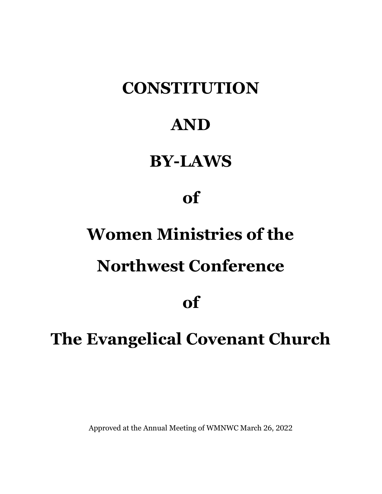# **CONSTITUTION**

## AND

## BY-LAWS

## of

# Women Ministries of the

## Northwest Conference

## of

# The Evangelical Covenant Church

Approved at the Annual Meeting of WMNWC March 26, 2022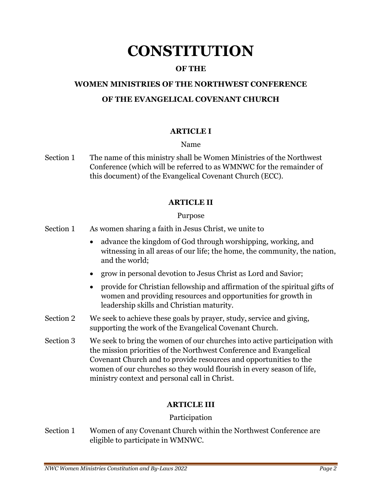## **CONSTITUTION**

## OF THE

## WOMEN MINISTRIES OF THE NORTHWEST CONFERENCE

## OF THE EVANGELICAL COVENANT CHURCH

### ARTICLE I

#### Name

Section 1 The name of this ministry shall be Women Ministries of the Northwest Conference (which will be referred to as WMNWC for the remainder of this document) of the Evangelical Covenant Church (ECC).

### ARTICLE II

#### Purpose

- Section 1 As women sharing a faith in Jesus Christ, we unite to
	- advance the kingdom of God through worshipping, working, and witnessing in all areas of our life; the home, the community, the nation, and the world;
	- grow in personal devotion to Jesus Christ as Lord and Savior;
	- provide for Christian fellowship and affirmation of the spiritual gifts of women and providing resources and opportunities for growth in leadership skills and Christian maturity.
- Section 2 We seek to achieve these goals by prayer, study, service and giving, supporting the work of the Evangelical Covenant Church.
- Section 3 We seek to bring the women of our churches into active participation with the mission priorities of the Northwest Conference and Evangelical Covenant Church and to provide resources and opportunities to the women of our churches so they would flourish in every season of life, ministry context and personal call in Christ.

## ARTICLE III

### Participation

Section 1 Women of any Covenant Church within the Northwest Conference are eligible to participate in WMNWC.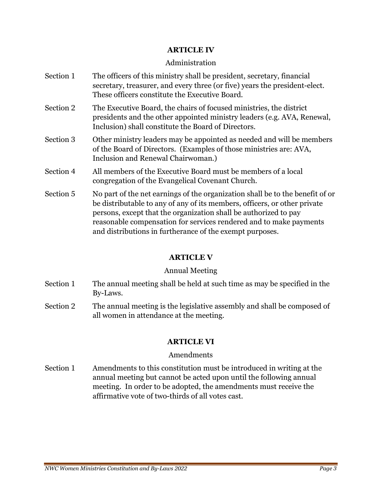#### ARTICLE IV

#### Administration

- Section 1 The officers of this ministry shall be president, secretary, financial secretary, treasurer, and every three (or five) years the president-elect. These officers constitute the Executive Board.
- Section 2 The Executive Board, the chairs of focused ministries, the district presidents and the other appointed ministry leaders (e.g. AVA, Renewal, Inclusion) shall constitute the Board of Directors.
- Section 3 Other ministry leaders may be appointed as needed and will be members of the Board of Directors. (Examples of those ministries are: AVA, Inclusion and Renewal Chairwoman.)
- Section 4 All members of the Executive Board must be members of a local congregation of the Evangelical Covenant Church.
- Section 5 No part of the net earnings of the organization shall be to the benefit of or be distributable to any of any of its members, officers, or other private persons, except that the organization shall be authorized to pay reasonable compensation for services rendered and to make payments and distributions in furtherance of the exempt purposes.

## ARTICLE V

### Annual Meeting

- Section 1 The annual meeting shall be held at such time as may be specified in the By-Laws.
- Section 2 The annual meeting is the legislative assembly and shall be composed of all women in attendance at the meeting.

## ARTICLE VI

### Amendments

Section 1 Amendments to this constitution must be introduced in writing at the annual meeting but cannot be acted upon until the following annual meeting. In order to be adopted, the amendments must receive the affirmative vote of two-thirds of all votes cast.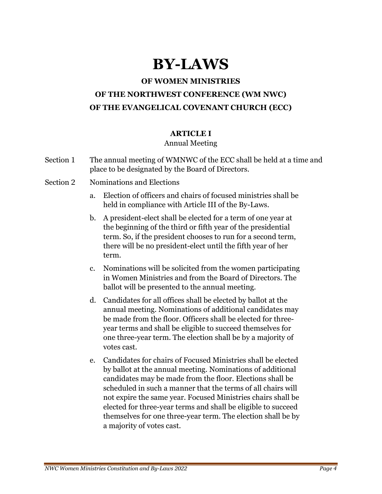## BY-LAWS

## OF WOMEN MINISTRIES

## OF THE NORTHWEST CONFERENCE (WM NWC) OF THE EVANGELICAL COVENANT CHURCH (ECC)

## ARTICLE I

### Annual Meeting

- Section 1 The annual meeting of WMNWC of the ECC shall be held at a time and place to be designated by the Board of Directors.
- Section 2 Nominations and Elections
	- a. Election of officers and chairs of focused ministries shall be held in compliance with Article III of the By-Laws.
	- b. A president-elect shall be elected for a term of one year at the beginning of the third or fifth year of the presidential term. So, if the president chooses to run for a second term, there will be no president-elect until the fifth year of her term.
	- c. Nominations will be solicited from the women participating in Women Ministries and from the Board of Directors. The ballot will be presented to the annual meeting.
	- d. Candidates for all offices shall be elected by ballot at the annual meeting. Nominations of additional candidates may be made from the floor. Officers shall be elected for threeyear terms and shall be eligible to succeed themselves for one three-year term. The election shall be by a majority of votes cast.
	- e. Candidates for chairs of Focused Ministries shall be elected by ballot at the annual meeting. Nominations of additional candidates may be made from the floor. Elections shall be scheduled in such a manner that the terms of all chairs will not expire the same year. Focused Ministries chairs shall be elected for three-year terms and shall be eligible to succeed themselves for one three-year term. The election shall be by a majority of votes cast.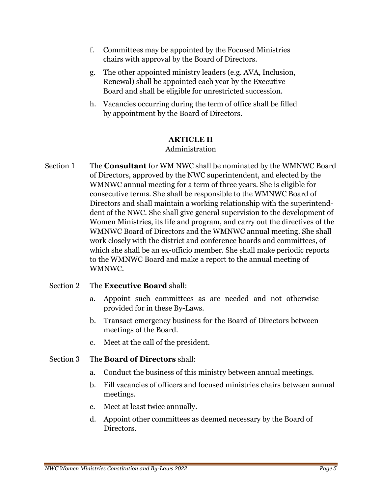- f. Committees may be appointed by the Focused Ministries chairs with approval by the Board of Directors.
- g. The other appointed ministry leaders (e.g. AVA, Inclusion, Renewal) shall be appointed each year by the Executive Board and shall be eligible for unrestricted succession.
- h. Vacancies occurring during the term of office shall be filled by appointment by the Board of Directors.

### ARTICLE II

### Administration

Section 1 The **Consultant** for WM NWC shall be nominated by the WMNWC Board of Directors, approved by the NWC superintendent, and elected by the WMNWC annual meeting for a term of three years. She is eligible for consecutive terms. She shall be responsible to the WMNWC Board of Directors and shall maintain a working relationship with the superintenddent of the NWC. She shall give general supervision to the development of Women Ministries, its life and program, and carry out the directives of the WMNWC Board of Directors and the WMNWC annual meeting. She shall work closely with the district and conference boards and committees, of which she shall be an ex-officio member. She shall make periodic reports to the WMNWC Board and make a report to the annual meeting of WMNWC.

### Section 2 The **Executive Board** shall:

- a. Appoint such committees as are needed and not otherwise provided for in these By-Laws.
- b. Transact emergency business for the Board of Directors between meetings of the Board.
- c. Meet at the call of the president.

### Section 3 The **Board of Directors** shall:

- a. Conduct the business of this ministry between annual meetings.
- b. Fill vacancies of officers and focused ministries chairs between annual meetings.
- c. Meet at least twice annually.
- d. Appoint other committees as deemed necessary by the Board of Directors.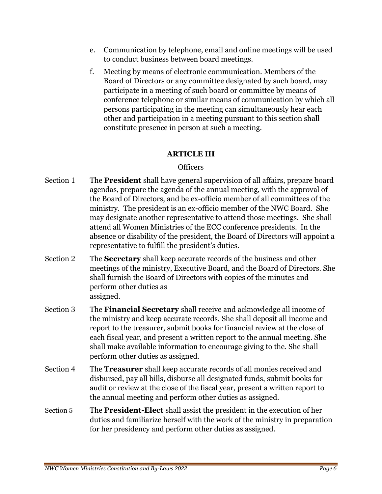- e. Communication by telephone, email and online meetings will be used to conduct business between board meetings.
- f. Meeting by means of electronic communication. Members of the Board of Directors or any committee designated by such board, may participate in a meeting of such board or committee by means of conference telephone or similar means of communication by which all persons participating in the meeting can simultaneously hear each other and participation in a meeting pursuant to this section shall constitute presence in person at such a meeting.

## ARTICLE III

## **Officers**

- Section 1 The **President** shall have general supervision of all affairs, prepare board agendas, prepare the agenda of the annual meeting, with the approval of the Board of Directors, and be ex-officio member of all committees of the ministry. The president is an ex-officio member of the NWC Board. She may designate another representative to attend those meetings. She shall attend all Women Ministries of the ECC conference presidents. In the absence or disability of the president, the Board of Directors will appoint a representative to fulfill the president's duties.
- Section 2 The **Secretary** shall keep accurate records of the business and other meetings of the ministry, Executive Board, and the Board of Directors. She shall furnish the Board of Directors with copies of the minutes and perform other duties as assigned.
- Section 3 The **Financial Secretary** shall receive and acknowledge all income of the ministry and keep accurate records. She shall deposit all income and report to the treasurer, submit books for financial review at the close of each fiscal year, and present a written report to the annual meeting. She shall make available information to encourage giving to the. She shall perform other duties as assigned.
- Section 4 The **Treasurer** shall keep accurate records of all monies received and disbursed, pay all bills, disburse all designated funds, submit books for audit or review at the close of the fiscal year, present a written report to the annual meeting and perform other duties as assigned.
- Section 5 The **President-Elect** shall assist the president in the execution of her duties and familiarize herself with the work of the ministry in preparation for her presidency and perform other duties as assigned.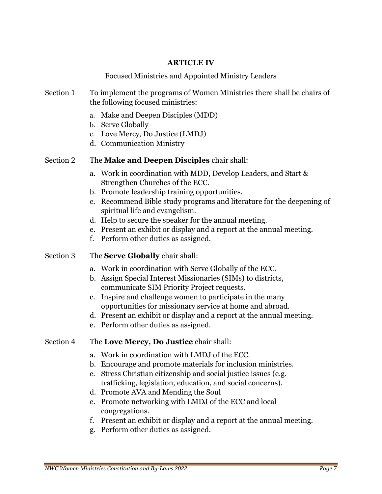#### ARTICLE IV

### Focused Ministries and Appointed Ministry Leaders

- Section 1 To implement the programs of Women Ministries there shall be chairs of the following focused ministries:
	- a. Make and Deepen Disciples (MDD)
	- b. Serve Globally
	- c. Love Mercy, Do Justice (LMDJ)
	- d. Communication Ministry

#### Section 2 The Make and Deepen Disciples chair shall:

- a. Work in coordination with MDD, Develop Leaders, and Start & Strengthen Churches of the ECC.
- b. Promote leadership training opportunities.
- c. Recommend Bible study programs and literature for the deepening of spiritual life and evangelism.
- d. Help to secure the speaker for the annual meeting.
- e. Present an exhibit or display and a report at the annual meeting.
- f. Perform other duties as assigned.

#### Section 3 The **Serve Globally** chair shall:

- a. Work in coordination with Serve Globally of the ECC.
- b. Assign Special Interest Missionaries (SIMs) to districts, communicate SIM Priority Project requests.
- c. Inspire and challenge women to participate in the many opportunities for missionary service at home and abroad.
- d. Present an exhibit or display and a report at the annual meeting.
- e. Perform other duties as assigned.

#### Section 4 The Love Mercy, Do Justice chair shall:

- a. Work in coordination with LMDJ of the ECC.
- b. Encourage and promote materials for inclusion ministries.
- c. Stress Christian citizenship and social justice issues (e.g. trafficking, legislation, education, and social concerns).
- d. Promote AVA and Mending the Soul
- e. Promote networking with LMDJ of the ECC and local congregations.
- f. Present an exhibit or display and a report at the annual meeting.
- g. Perform other duties as assigned.